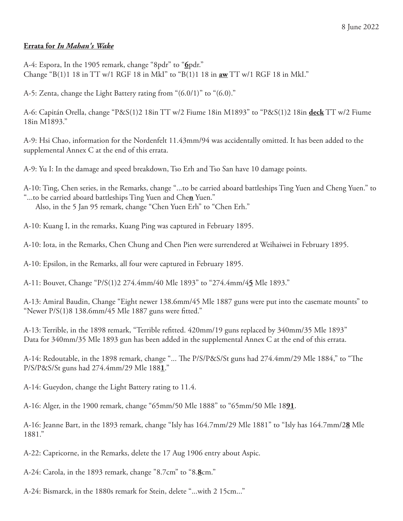## **Errata for** *In Mahan's Wake*

A-4: Espora, In the 1905 remark, change "8pdr" to "**6**pdr." Change "B(1)1 18 in TT w/1 RGF 18 in MkI" to "B(1)1 18 in **aw** TT w/1 RGF 18 in MkI."

A-5: Zenta, change the Light Battery rating from "(6.0/1)" to "(6.0)."

A-6: Capitán Orella, change "P&S(1)2 18in TT w/2 Fiume 18in M1893" to "P&S(1)2 18in **deck** TT w/2 Fiume 18in M1893."

A-9: Hsi Chao, information for the Nordenfelt 11.43mm/94 was accidentally omitted. It has been added to the supplemental Annex C at the end of this errata.

A-9: Yu I: In the damage and speed breakdown, Tso Erh and Tso San have 10 damage points.

A-10: Ting, Chen series, in the Remarks, change "...to be carried aboard battleships Ting Yuen and Cheng Yuen." to "...to be carried aboard battleships Ting Yuen and Che**n** Yuen." Also, in the 5 Jan 95 remark, change "Chen Yuen Erh" to "Chen Erh."

A-10: Kuang I, in the remarks, Kuang Ping was captured in February 1895.

A-10: Iota, in the Remarks, Chen Chung and Chen Pien were surrendered at Weihaiwei in February 1895.

A-10: Epsilon, in the Remarks, all four were captured in February 1895.

A-11: Bouvet, Change "P/S(1)2 274.4mm/40 Mle 1893" to "274.4mm/4**5** Mle 1893."

A-13: Amiral Baudin, Change "Eight newer 138.6mm/45 Mle 1887 guns were put into the casemate mounts" to "Newer P/S(1)8 138.6mm/45 Mle 1887 guns were fitted."

A-13: Terrible, in the 1898 remark, "Terrible refitted. 420mm/19 guns replaced by 340mm/35 Mle 1893" Data for 340mm/35 Mle 1893 gun has been added in the supplemental Annex C at the end of this errata.

A-14: Redoutable, in the 1898 remark, change "... The P/S/P&S/St guns had 274.4mm/29 Mle 1884," to "The P/S/P&S/St guns had 274.4mm/29 Mle 188**1**."

A-14: Gueydon, change the Light Battery rating to 11.4.

A-16: Alger, in the 1900 remark, change "65mm/50 Mle 1888" to "65mm/50 Mle 18**91**.

A-16: Jeanne Bart, in the 1893 remark, change "Isly has 164.7mm/29 Mle 1881" to "Isly has 164.7mm/2**8** Mle 1881."

A-22: Capricorne, in the Remarks, delete the 17 Aug 1906 entry about Aspic.

A-24: Carola, in the 1893 remark, change "8.7cm" to "8.**8**cm."

A-24: Bismarck, in the 1880s remark for Stein, delete "...with 2 15cm..."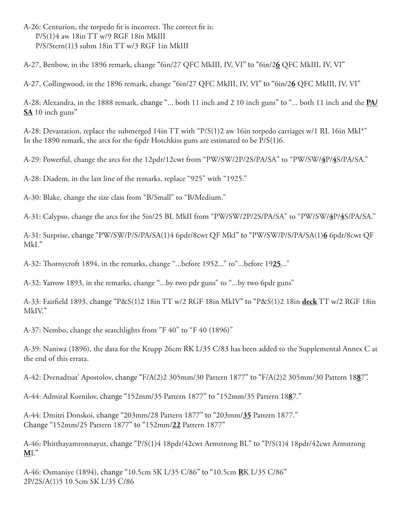A-26: Centurion, the torpedo fit is incorrect. The correct fit is: P/S(1)4 aw 18in TT w/9 RGF 18in MkIII P/S/Stern(1)3 subm 18in TT w/3 RGF 1in MkIII

A-27, Benbow, in the 1896 remark, change "6in/27 QFC MkIII, IV, VI" to "6in/2**6** QFC MkIII, IV, VI"

A-27, Collingwood, in the 1896 remark, change "6in/27 QFC MkIII, IV, VI" to "6in/2**6** QFC MkIII, IV, VI"

A-28: Alexandra, in the 1888 remark, change "... both 11 inch and 2 10 inch guns" to "... both 11 inch and the **PA/ SA** 10 inch guns"

A-28: Devastation, replace the submerged 14in TT with "P/S(1)2 aw 16in torpedo carriages w/1 RL 16in MkI\*" In the 1890 remark, the arcs for the 6pdr Hotchkiss guns are estimated to be P/S(1)6.

A-29: Powerful, change the arcs for the 12pdr/12cwt from "PW/SW/2P/2S/PA/SA" to "PW/SW/**4**P/**4**S/PA/SA."

A-28: Diadem, in the last line of the remarks, replace "925" with "1925."

A-30: Blake, change the size class from "B/Small" to "B/Medium."

A-31: Calypso, change the arcs for the 5in/25 BL MkII from "PW/SW/2P/2S/PA/SA" to "PW/SW/**4**P/**4**S/PA/SA."

A-31: Surprise, change "PW/SW/P/S/PA/SA(1)4 6pdr/8cwt QF MkI" to "PW/SW/P/S/PA/SA(1)**6** 6pdr/8cwt QF MkI."

A-32: Thornycroft 1894, in the remarks, change "...before 1952..." to"...before 19**25**..."

A-32: Yarrow 1893, in the remarks, change "...by two pdr guns" to "...by two 6pdr guns"

A-33: Fairfield 1893, change "P&S(1)2 18in TT w/2 RGF 18in MkIV" to "P&S(1)2 18in **deck** TT w/2 RGF 18in MkIV."

A-37: Nembo, change the searchlights from "F 40" to "F 40 (1896)"

A-39: Naniwa (1896), the data for the Krupp 26cm RK L/35 C/83 has been added to the Supplemental Annex C at the end of this errata.

A-42: Dvenadtsat' Apostolov, change "F/A(2)2 305mm/30 Pattern 1877" to "F/A(2)2 305mm/30 Pattern 18**8**7".

A-44: Admiral Kornilov, change "152mm/35 Pattern 1877" to "152mm/35 Pattern 18**8**7."

A-44: Dmitri Donskoi, change "203mm/28 Pattern 1877" to "203mm/**35** Pattern 1877." Change "152mm/25 Pattern 1877" to "152mm/**22** Pattern 1877"

A-46: Phitthayamronnayut, change "P/S(1)4 18pdr/42cwt Armstrong BL" to "P/S(1)4 18pdr/42cwt Armstrong **M**L"

A-46: Osmaniye (1894), change "10.5cm SK L/35 C/86" to "10.5cm **R**K L/35 C/86" 2P/2S/A(1)5 10.5cm SK L/35 C/86